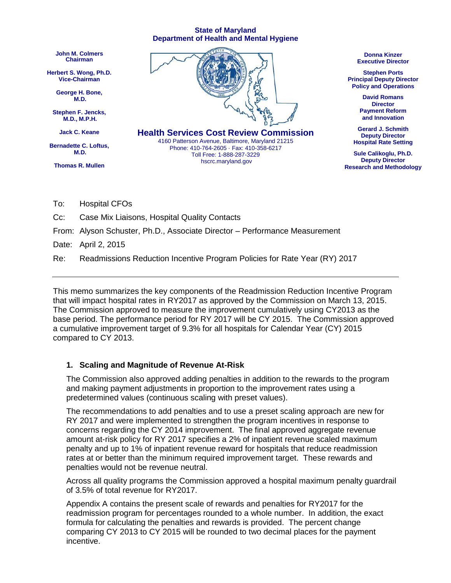#### **State of Maryland Department of Health and Mental Hygiene**



To: Hospital CFOs

Cc: Case Mix Liaisons, Hospital Quality Contacts

From: Alyson Schuster, Ph.D., Associate Director – Performance Measurement

Date: April 2, 2015

Re: Readmissions Reduction Incentive Program Policies for Rate Year (RY) 2017

This memo summarizes the key components of the Readmission Reduction Incentive Program that will impact hospital rates in RY2017 as approved by the Commission on March 13, 2015. The Commission approved to measure the improvement cumulatively using CY2013 as the base period. The performance period for RY 2017 will be CY 2015. The Commission approved a cumulative improvement target of 9.3% for all hospitals for Calendar Year (CY) 2015 compared to CY 2013.

#### **1. Scaling and Magnitude of Revenue At-Risk**

The Commission also approved adding penalties in addition to the rewards to the program and making payment adjustments in proportion to the improvement rates using a predetermined values (continuous scaling with preset values).

The recommendations to add penalties and to use a preset scaling approach are new for RY 2017 and were implemented to strengthen the program incentives in response to concerns regarding the CY 2014 improvement. The final approved aggregate revenue amount at-risk policy for RY 2017 specifies a 2% of inpatient revenue scaled maximum penalty and up to 1% of inpatient revenue reward for hospitals that reduce readmission rates at or better than the minimum required improvement target. These rewards and penalties would not be revenue neutral.

Across all quality programs the Commission approved a hospital maximum penalty guardrail of 3.5% of total revenue for RY2017.

Appendix A contains the present scale of rewards and penalties for RY2017 for the readmission program for percentages rounded to a whole number. In addition, the exact formula for calculating the penalties and rewards is provided. The percent change comparing CY 2013 to CY 2015 will be rounded to two decimal places for the payment incentive.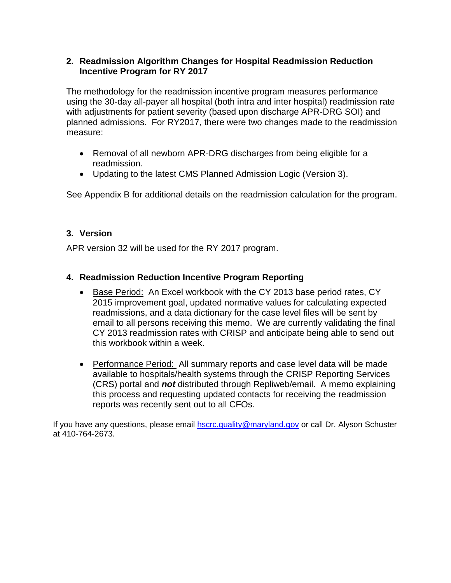# **2. Readmission Algorithm Changes for Hospital Readmission Reduction Incentive Program for RY 2017**

The methodology for the readmission incentive program measures performance using the 30-day all-payer all hospital (both intra and inter hospital) readmission rate with adjustments for patient severity (based upon discharge APR-DRG SOI) and planned admissions. For RY2017, there were two changes made to the readmission measure:

- Removal of all newborn APR-DRG discharges from being eligible for a readmission.
- Updating to the latest CMS Planned Admission Logic (Version 3).

See Appendix B for additional details on the readmission calculation for the program.

# **3. Version**

APR version 32 will be used for the RY 2017 program.

# **4. Readmission Reduction Incentive Program Reporting**

- Base Period: An Excel workbook with the CY 2013 base period rates, CY 2015 improvement goal, updated normative values for calculating expected readmissions, and a data dictionary for the case level files will be sent by email to all persons receiving this memo. We are currently validating the final CY 2013 readmission rates with CRISP and anticipate being able to send out this workbook within a week.
- Performance Period: All summary reports and case level data will be made available to hospitals/health systems through the CRISP Reporting Services (CRS) portal and *not* distributed through Repliweb/email. A memo explaining this process and requesting updated contacts for receiving the readmission reports was recently sent out to all CFOs.

If you have any questions, please email **[hscrc.quality@maryland.gov](mailto:hscrc.quality@maryland.gov)** or call Dr. Alyson Schuster at 410-764-2673.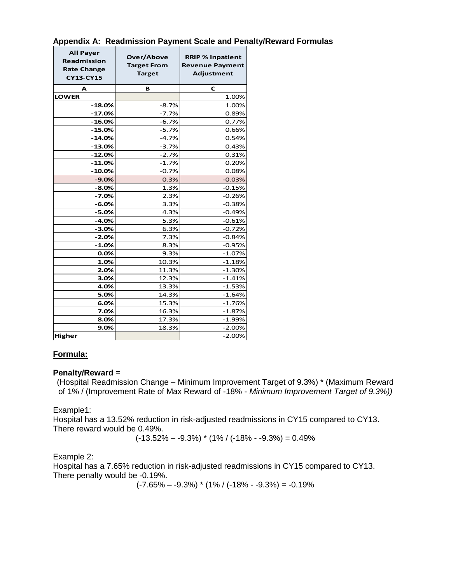| <b>All Payer</b><br>Readmission<br><b>Rate Change</b><br><b>CY13-CY15</b> | Over/Above<br><b>Target From</b><br><b>Target</b> | <b>RRIP % Inpatient</b><br><b>Revenue Payment</b><br><b>Adjustment</b> |  |
|---------------------------------------------------------------------------|---------------------------------------------------|------------------------------------------------------------------------|--|
| А                                                                         | в                                                 | с                                                                      |  |
| <b>LOWER</b>                                                              |                                                   | 1.00%                                                                  |  |
| $-18.0%$                                                                  | $-8.7%$                                           | 1.00%                                                                  |  |
| $-17.0%$                                                                  | $-7.7%$                                           | 0.89%                                                                  |  |
| $-16.0%$                                                                  | $-6.7%$                                           | 0.77%                                                                  |  |
| -15.0%                                                                    | $-5.7%$                                           | 0.66%                                                                  |  |
| $-14.0\%$                                                                 | $-4.7%$                                           | 0.54%                                                                  |  |
| -13.0%                                                                    | $-3.7%$                                           | 0.43%                                                                  |  |
| $-12.0%$                                                                  | $-2.7%$                                           | 0.31%                                                                  |  |
| $-11.0%$                                                                  | $-1.7%$                                           | 0.20%                                                                  |  |
| $-10.0%$                                                                  | $-0.7%$                                           | 0.08%                                                                  |  |
| $-9.0%$                                                                   | 0.3%                                              | $-0.03%$                                                               |  |
| $-8.0%$                                                                   | 1.3%                                              | $-0.15%$                                                               |  |
| $-7.0%$                                                                   | 2.3%                                              | $-0.26%$                                                               |  |
| $-6.0%$                                                                   | 3.3%                                              | $-0.38%$                                                               |  |
| $-5.0%$                                                                   | 4.3%                                              | $-0.49%$                                                               |  |
| $-4.0%$                                                                   | 5.3%                                              | $-0.61%$                                                               |  |
| $-3.0%$                                                                   | 6.3%                                              | $-0.72%$                                                               |  |
| $-2.0%$                                                                   | 7.3%                                              | $-0.84%$                                                               |  |
| $-1.0%$                                                                   | 8.3%                                              | $-0.95%$                                                               |  |
| 0.0%                                                                      | 9.3%                                              | $-1.07%$                                                               |  |
| 1.0%                                                                      | 10.3%                                             | $-1.18%$                                                               |  |
| 2.0%                                                                      | 11.3%                                             | $-1.30%$                                                               |  |
| 3.0%                                                                      | 12.3%                                             | $-1.41%$                                                               |  |
| 4.0%                                                                      | 13.3%                                             | $-1.53%$                                                               |  |
| 5.0%                                                                      | 14.3%                                             | $-1.64%$                                                               |  |
| 6.0%                                                                      | 15.3%                                             | $-1.76%$                                                               |  |
| 7.0%                                                                      | 16.3%                                             | $-1.87%$                                                               |  |
| 8.0%                                                                      | 17.3%                                             | $-1.99%$                                                               |  |
| 9.0%                                                                      | 18.3%                                             | $-2.00%$                                                               |  |
| Higher                                                                    |                                                   | $-2.00%$                                                               |  |

# **Appendix A: Readmission Payment Scale and Penalty/Reward Formulas**

## **Formula:**

### **Penalty/Reward =**

(Hospital Readmission Change – Minimum Improvement Target of 9.3%) \* (Maximum Reward of 1% / (Improvement Rate of Max Reward of -18% - *Minimum Improvement Target of 9.3%))*

Example1:

Hospital has a 13.52% reduction in risk-adjusted readmissions in CY15 compared to CY13. There reward would be 0.49%.

$$
(-13.52\% - -9.3\%)*(1\% / (-18\% - -9.3\%) = 0.49\%
$$

Example 2:

Hospital has a 7.65% reduction in risk-adjusted readmissions in CY15 compared to CY13. There penalty would be -0.19%.

 $(-7.65\% - -9.3\%)$  \* (1% / (-18% - -9.3%) = -0.19%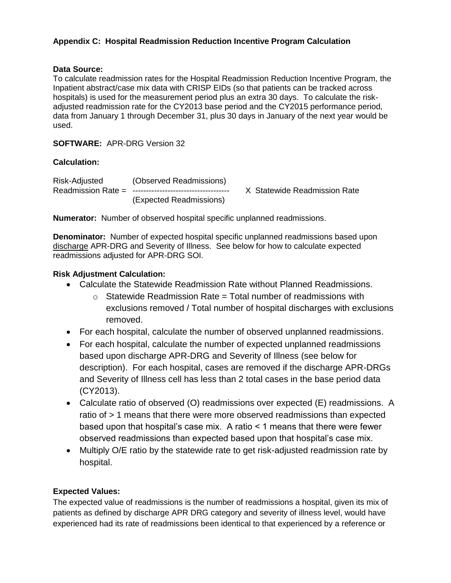# **Appendix C: Hospital Readmission Reduction Incentive Program Calculation**

## **Data Source:**

To calculate readmission rates for the Hospital Readmission Reduction Incentive Program, the Inpatient abstract/case mix data with CRISP EIDs (so that patients can be tracked across hospitals) is used for the measurement period plus an extra 30 days. To calculate the riskadjusted readmission rate for the CY2013 base period and the CY2015 performance period, data from January 1 through December 31, plus 30 days in January of the next year would be used.

**SOFTWARE:** APR-DRG Version 32

## **Calculation:**

Risk-Adjusted (Observed Readmissions) Readmission Rate = ------------------------------------ X Statewide Readmission Rate (Expected Readmissions)

**Numerator:** Number of observed hospital specific unplanned readmissions.

**Denominator:** Number of expected hospital specific unplanned readmissions based upon discharge APR-DRG and Severity of Illness. See below for how to calculate expected readmissions adjusted for APR-DRG SOI.

### **Risk Adjustment Calculation:**

- Calculate the Statewide Readmission Rate without Planned Readmissions.
	- $\circ$  Statewide Readmission Rate = Total number of readmissions with exclusions removed / Total number of hospital discharges with exclusions removed.
- For each hospital, calculate the number of observed unplanned readmissions.
- For each hospital, calculate the number of expected unplanned readmissions based upon discharge APR-DRG and Severity of Illness (see below for description). For each hospital, cases are removed if the discharge APR-DRGs and Severity of Illness cell has less than 2 total cases in the base period data (CY2013).
- Calculate ratio of observed (O) readmissions over expected (E) readmissions. A ratio of > 1 means that there were more observed readmissions than expected based upon that hospital's case mix. A ratio < 1 means that there were fewer observed readmissions than expected based upon that hospital's case mix.
- Multiply O/E ratio by the statewide rate to get risk-adjusted readmission rate by hospital.

## **Expected Values:**

The expected value of readmissions is the number of readmissions a hospital, given its mix of patients as defined by discharge APR DRG category and severity of illness level, would have experienced had its rate of readmissions been identical to that experienced by a reference or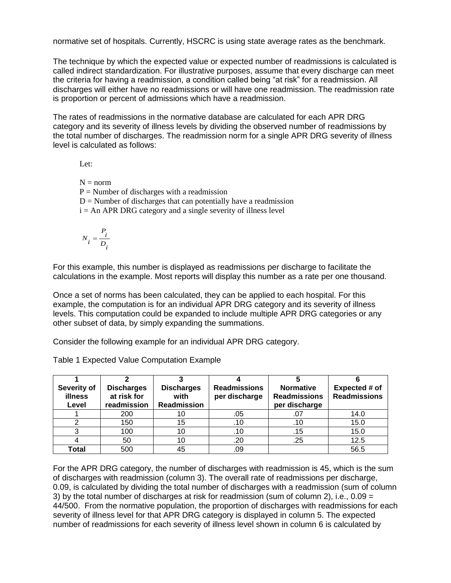normative set of hospitals. Currently, HSCRC is using state average rates as the benchmark.

The technique by which the expected value or expected number of readmissions is calculated is called indirect standardization. For illustrative purposes, assume that every discharge can meet the criteria for having a readmission, a condition called being "at risk" for a readmission. All discharges will either have no readmissions or will have one readmission. The readmission rate is proportion or percent of admissions which have a readmission.

The rates of readmissions in the normative database are calculated for each APR DRG category and its severity of illness levels by dividing the observed number of readmissions by the total number of discharges. The readmission norm for a single APR DRG severity of illness level is calculated as follows:

Let:

 $N = norm$  $P =$  Number of discharges with a readmission  $D =$  Number of discharges that can potentially have a readmission  $i = An APR DRG category and a single severity of illness level$ 

$$
N_i = \frac{P_i}{D_i}
$$

For this example, this number is displayed as readmissions per discharge to facilitate the calculations in the example. Most reports will display this number as a rate per one thousand.

Once a set of norms has been calculated, they can be applied to each hospital. For this example, the computation is for an individual APR DRG category and its severity of illness levels. This computation could be expanded to include multiple APR DRG categories or any other subset of data, by simply expanding the summations.

Consider the following example for an individual APR DRG category.

| Severity of<br>illness<br>Level | <b>Discharges</b><br>at risk for<br>readmission | <b>Discharges</b><br>with<br><b>Readmission</b> | <b>Readmissions</b><br>per discharge | <b>Normative</b><br><b>Readmissions</b><br>per discharge | Expected # of<br><b>Readmissions</b> |
|---------------------------------|-------------------------------------------------|-------------------------------------------------|--------------------------------------|----------------------------------------------------------|--------------------------------------|
|                                 | 200                                             | 10                                              | .05                                  | .07                                                      | 14.0                                 |
|                                 | 150                                             | 15                                              | .10                                  | .10                                                      | 15.0                                 |
|                                 | 100                                             | 10                                              | .10                                  | .15                                                      | 15.0                                 |
|                                 | 50                                              | 10                                              | .20                                  | .25                                                      | 12.5                                 |
| Total                           | 500                                             | 45                                              | .09                                  |                                                          | 56.5                                 |

Table 1 Expected Value Computation Example

For the APR DRG category, the number of discharges with readmission is 45, which is the sum of discharges with readmission (column 3). The overall rate of readmissions per discharge, 0.09, is calculated by dividing the total number of discharges with a readmission (sum of column 3) by the total number of discharges at risk for readmission (sum of column 2), i.e.,  $0.09 =$ 44/500. From the normative population, the proportion of discharges with readmissions for each severity of illness level for that APR DRG category is displayed in column 5. The expected number of readmissions for each severity of illness level shown in column 6 is calculated by